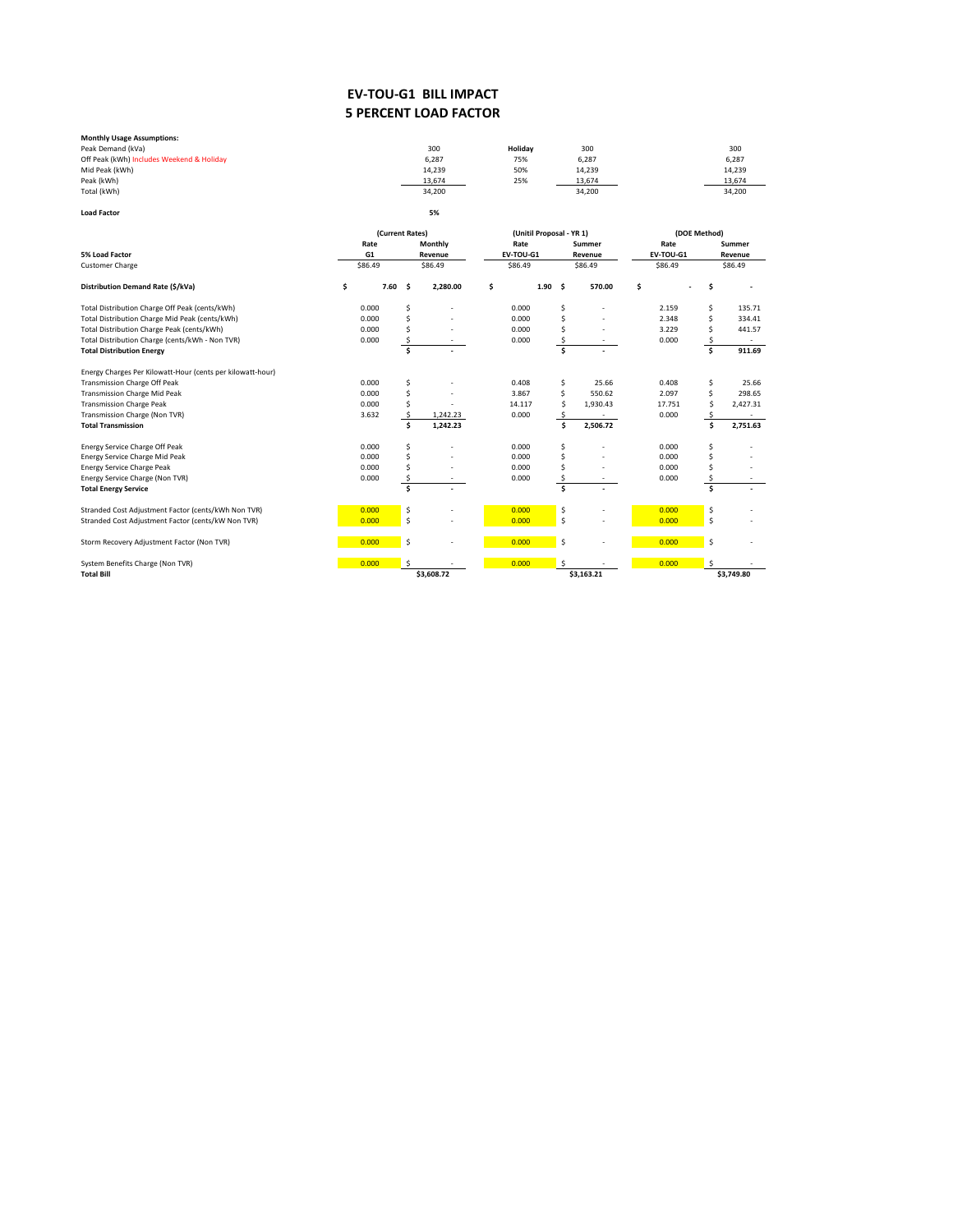## **5 PERCENT LOAD FACTOR EV-TOU-G1 BILL IMPACT**

| <b>Monthly Usage Assumptions:</b>         |        |         |        |        |
|-------------------------------------------|--------|---------|--------|--------|
| Peak Demand (kVa)                         | 300    | Holidav | 300    | 300    |
| Off Peak (kWh) Includes Weekend & Holiday | 6,287  | 75%     | 6,287  | 6,287  |
| Mid Peak (kWh)                            | 14.239 | 50%     | 14,239 | 14,239 |
| Peak (kWh)                                | 13,674 | 25%     | 13,674 | 13,674 |
| Total (kWh)                               | 34,200 |         | 34,200 | 34,200 |
| <b>Load Factor</b>                        | 5%     |         |        |        |

|                                                            |    | (Current Rates) |       |         |            |         | (Unitil Proposal - YR 1) |      |         |            | (DOE Method) |           |        |            |  |
|------------------------------------------------------------|----|-----------------|-------|---------|------------|---------|--------------------------|------|---------|------------|--------------|-----------|--------|------------|--|
|                                                            |    | Rate            |       | Monthly |            | Rate    |                          |      | Summer  |            | Rate         |           | Summer |            |  |
| 5% Load Factor                                             |    | G <sub>1</sub>  |       |         | Revenue    |         | EV-TOU-G1                |      |         | Revenue    |              | EV-TOU-G1 |        | Revenue    |  |
| <b>Customer Charge</b>                                     |    | \$86.49         |       | \$86.49 |            | \$86.49 |                          |      | \$86.49 |            |              | \$86.49   |        | \$86.49    |  |
| Distribution Demand Rate (\$/kVa)                          | \$ |                 | 7.60% |         | 2,280.00   | Ś       |                          | 1.90 | s.      | 570.00     | \$           |           |        |            |  |
| Total Distribution Charge Off Peak (cents/kWh)             |    | 0.000           | Ś     |         |            |         | 0.000                    |      | Ś       |            |              | 2.159     | Ś      | 135.71     |  |
| Total Distribution Charge Mid Peak (cents/kWh)             |    | 0.000           |       |         |            |         | 0.000                    |      | Ś       |            |              | 2.348     | Ś      | 334.41     |  |
| Total Distribution Charge Peak (cents/kWh)                 |    | 0.000           |       |         |            |         | 0.000                    |      |         |            |              | 3.229     | Ś      | 441.57     |  |
| Total Distribution Charge (cents/kWh - Non TVR)            |    | 0.000           |       |         |            |         | 0.000                    |      |         |            |              | 0.000     |        |            |  |
| <b>Total Distribution Energy</b>                           |    |                 | Ś     |         |            |         |                          |      | Ś       |            |              |           | Ś.     | 911.69     |  |
| Energy Charges Per Kilowatt-Hour (cents per kilowatt-hour) |    |                 |       |         |            |         |                          |      |         |            |              |           |        |            |  |
| Transmission Charge Off Peak                               |    | 0.000           | Ś     |         |            |         | 0.408                    |      | \$      | 25.66      |              | 0.408     | Ś      | 25.66      |  |
| <b>Transmission Charge Mid Peak</b>                        |    | 0.000           |       |         |            |         | 3.867                    |      | \$      | 550.62     |              | 2.097     | Ś      | 298.65     |  |
| <b>Transmission Charge Peak</b>                            |    | 0.000           |       |         |            |         | 14.117                   |      | Ś       | 1,930.43   |              | 17.751    |        | 2,427.31   |  |
| Transmission Charge (Non TVR)                              |    | 3.632           |       |         | 1,242.23   |         | 0.000                    |      |         |            |              | 0.000     |        |            |  |
| <b>Total Transmission</b>                                  |    |                 |       |         | 1,242.23   |         |                          |      | Ś       | 2,506.72   |              |           | Ś      | 2,751.63   |  |
| Energy Service Charge Off Peak                             |    | 0.000           | Ŝ     |         |            |         | 0.000                    |      | Ś       |            |              | 0.000     |        |            |  |
| Energy Service Charge Mid Peak                             |    | 0.000           |       |         |            |         | 0.000                    |      |         |            |              | 0.000     |        |            |  |
| <b>Energy Service Charge Peak</b>                          |    | 0.000           |       |         |            |         | 0.000                    |      |         |            |              | 0.000     |        |            |  |
| Energy Service Charge (Non TVR)                            |    | 0.000           |       |         |            |         | 0.000                    |      |         |            |              | 0.000     |        |            |  |
| <b>Total Energy Service</b>                                |    |                 | Ś     |         |            |         |                          |      | \$      |            |              |           | Ś      |            |  |
| Stranded Cost Adjustment Factor (cents/kWh Non TVR)        |    | 0.000           | \$    |         |            |         | 0.000                    |      | \$      |            |              | 0.000     | \$     |            |  |
| Stranded Cost Adjustment Factor (cents/kW Non TVR)         |    | 0.000           | Ś     |         |            |         | 0.000                    |      | \$      |            |              | 0.000     | \$     |            |  |
| Storm Recovery Adjustment Factor (Non TVR)                 |    | 0.000           | \$    |         |            |         | 0.000                    |      | \$      |            |              | 0.000     | \$     |            |  |
| System Benefits Charge (Non TVR)                           |    | 0.000           |       |         |            |         | 0.000                    |      | Ŝ       |            |              | 0.000     |        |            |  |
| <b>Total Bill</b>                                          |    |                 |       |         | \$3,608.72 |         |                          |      |         | \$3,163.21 |              |           |        | \$3,749.80 |  |